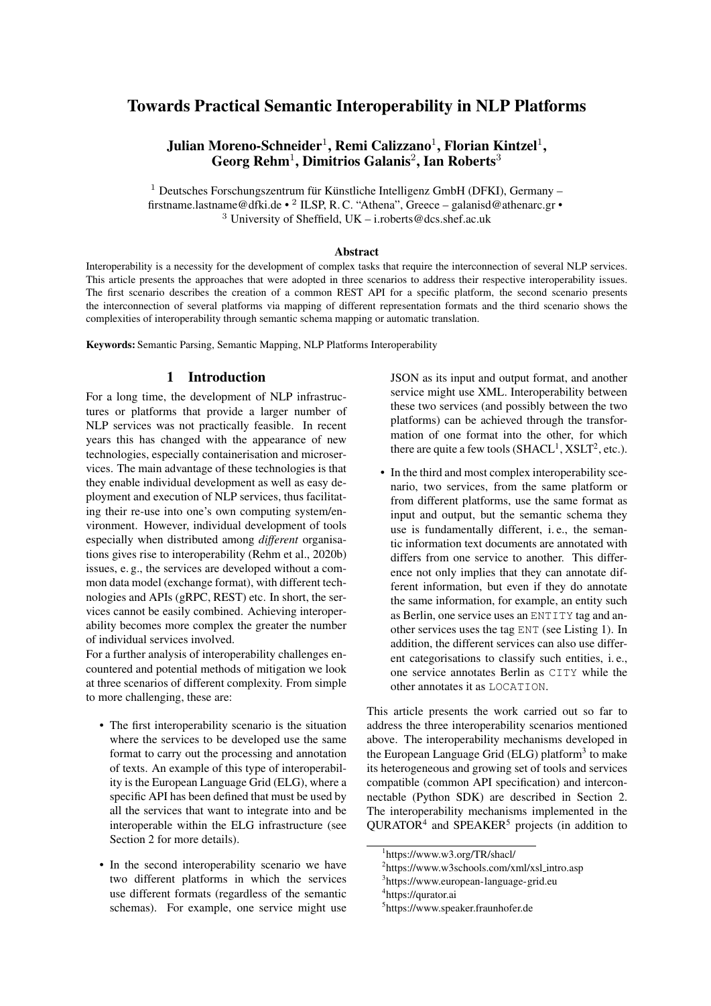# Towards Practical Semantic Interoperability in NLP Platforms

Julian Moreno-Schneider $^1$ , Remi Calizzano $^1$ , Florian Kintzel $^1,$ Georg Rehm<sup>1</sup>, Dimitrios Galanis<sup>2</sup>, Ian Roberts<sup>3</sup>

 $1$  Deutsches Forschungszentrum für Künstliche Intelligenz GmbH (DFKI), Germany – firstname.lastname@dfki.de • <sup>2</sup> ILSP, R. C. "Athena", Greece – galanisd@athenarc.gr • <sup>3</sup> University of Sheffield, UK – i.roberts@dcs.shef.ac.uk

#### Abstract

Interoperability is a necessity for the development of complex tasks that require the interconnection of several NLP services. This article presents the approaches that were adopted in three scenarios to address their respective interoperability issues. The first scenario describes the creation of a common REST API for a specific platform, the second scenario presents the interconnection of several platforms via mapping of different representation formats and the third scenario shows the complexities of interoperability through semantic schema mapping or automatic translation.

Keywords: Semantic Parsing, Semantic Mapping, NLP Platforms Interoperability

### 1 Introduction

<span id="page-0-5"></span>For a long time, the development of NLP infrastructures or platforms that provide a larger number of NLP services was not practically feasible. In recent years this has changed with the appearance of new technologies, especially containerisation and microservices. The main advantage of these technologies is that they enable individual development as well as easy deployment and execution of NLP services, thus facilitating their re-use into one's own computing system/environment. However, individual development of tools especially when distributed among *different* organisations gives rise to interoperability [\(Rehm et al., 2020b\)](#page-8-0) issues, e. g., the services are developed without a common data model (exchange format), with different technologies and APIs (gRPC, REST) etc. In short, the services cannot be easily combined. Achieving interoperability becomes more complex the greater the number of individual services involved.

For a further analysis of interoperability challenges encountered and potential methods of mitigation we look at three scenarios of different complexity. From simple to more challenging, these are:

- The first interoperability scenario is the situation where the services to be developed use the same format to carry out the processing and annotation of texts. An example of this type of interoperability is the European Language Grid (ELG), where a specific API has been defined that must be used by all the services that want to integrate into and be interoperable within the ELG infrastructure (see Section [2](#page-1-0) for more details).
- In the second interoperability scenario we have two different platforms in which the services use different formats (regardless of the semantic schemas). For example, one service might use

JSON as its input and output format, and another service might use XML. Interoperability between these two services (and possibly between the two platforms) can be achieved through the transformation of one format into the other, for which there are quite a few tools  $(SHACL<sup>1</sup>, XSLT<sup>2</sup>, etc.).$  $(SHACL<sup>1</sup>, XSLT<sup>2</sup>, etc.).$  $(SHACL<sup>1</sup>, XSLT<sup>2</sup>, etc.).$  $(SHACL<sup>1</sup>, XSLT<sup>2</sup>, etc.).$  $(SHACL<sup>1</sup>, XSLT<sup>2</sup>, etc.).$ 

• In the third and most complex interoperability scenario, two services, from the same platform or from different platforms, use the same format as input and output, but the semantic schema they use is fundamentally different, i. e., the semantic information text documents are annotated with differs from one service to another. This difference not only implies that they can annotate different information, but even if they do annotate the same information, for example, an entity such as Berlin, one service uses an ENTITY tag and another services uses the tag ENT (see Listing [1\)](#page-1-1). In addition, the different services can also use different categorisations to classify such entities, i. e., one service annotates Berlin as CITY while the other annotates it as LOCATION.

This article presents the work carried out so far to address the three interoperability scenarios mentioned above. The interoperability mechanisms developed in the European Language Grid (ELG) platform<sup>[3](#page-0-2)</sup> to make its heterogeneous and growing set of tools and services compatible (common API specification) and interconnectable (Python SDK) are described in Section [2.](#page-1-0) The interoperability mechanisms implemented in the QURATOR<sup>[4](#page-0-3)</sup> and SPEAKER<sup>[5](#page-0-4)</sup> projects (in addition to

<span id="page-0-0"></span><sup>1</sup> <https://www.w3.org/TR/shacl/>

<span id="page-0-1"></span><sup>&</sup>lt;sup>2</sup>[https://www.w3schools.com/xml/xsl](https://www.w3schools.com/xml/xsl_intro.asp)\_intro.asp

<span id="page-0-2"></span><sup>3</sup> <https://www.european-language-grid.eu>

<span id="page-0-3"></span><sup>4</sup> <https://qurator.ai>

<span id="page-0-4"></span><sup>5</sup> <https://www.speaker.fraunhofer.de>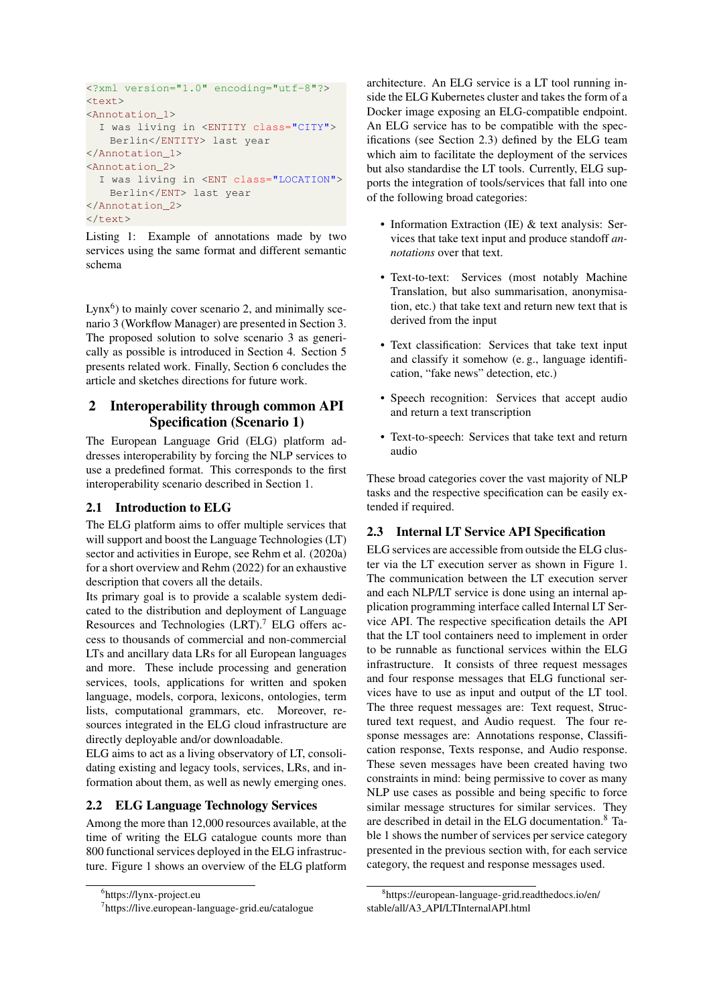```
<?xml version="1.0" encoding="utf-8"?>
<text>
<Annotation_1>
  I was living in <ENTITY class="CITY">
   Berlin</ENTITY> last year
</Annotation_1>
<Annotation_2>
  I was living in <ENT class="LOCATION">
   Berlin</ENT> last year
</Annotation_2>
</text>
```
Listing 1: Example of annotations made by two services using the same format and different semantic schema

Lynx $<sup>6</sup>$  $<sup>6</sup>$  $<sup>6</sup>$ ) to mainly cover scenario 2, and minimally sce-</sup> nario 3 (Workflow Manager) are presented in Section [3.](#page-3-0) The proposed solution to solve scenario 3 as generically as possible is introduced in Section [4.](#page-4-0) Section [5](#page-5-0) presents related work. Finally, Section [6](#page-6-0) concludes the article and sketches directions for future work.

# <span id="page-1-0"></span>2 Interoperability through common API Specification (Scenario 1)

The European Language Grid (ELG) platform addresses interoperability by forcing the NLP services to use a predefined format. This corresponds to the first interoperability scenario described in Section [1.](#page-0-5)

# 2.1 Introduction to ELG

The ELG platform aims to offer multiple services that will support and boost the Language Technologies (LT) sector and activities in Europe, see [Rehm et al. \(2020a\)](#page-7-0) for a short overview and [Rehm \(2022\)](#page-8-1) for an exhaustive description that covers all the details.

Its primary goal is to provide a scalable system dedicated to the distribution and deployment of Language Resources and Technologies (LRT).<sup>[7](#page-1-3)</sup> ELG offers access to thousands of commercial and non-commercial LTs and ancillary data LRs for all European languages and more. These include processing and generation services, tools, applications for written and spoken language, models, corpora, lexicons, ontologies, term lists, computational grammars, etc. Moreover, resources integrated in the ELG cloud infrastructure are directly deployable and/or downloadable.

ELG aims to act as a living observatory of LT, consolidating existing and legacy tools, services, LRs, and information about them, as well as newly emerging ones.

# 2.2 ELG Language Technology Services

Among the more than 12,000 resources available, at the time of writing the ELG catalogue counts more than 800 functional services deployed in the ELG infrastructure. Figure [1](#page-2-0) shows an overview of the ELG platform architecture. An ELG service is a LT tool running inside the ELG Kubernetes cluster and takes the form of a Docker image exposing an ELG-compatible endpoint. An ELG service has to be compatible with the specifications (see Section [2.3\)](#page-1-4) defined by the ELG team which aim to facilitate the deployment of the services but also standardise the LT tools. Currently, ELG supports the integration of tools/services that fall into one of the following broad categories:

- Information Extraction (IE) & text analysis: Services that take text input and produce standoff *annotations* over that text.
- Text-to-text: Services (most notably Machine Translation, but also summarisation, anonymisation, etc.) that take text and return new text that is derived from the input
- Text classification: Services that take text input and classify it somehow (e. g., language identification, "fake news" detection, etc.)
- Speech recognition: Services that accept audio and return a text transcription
- Text-to-speech: Services that take text and return audio

These broad categories cover the vast majority of NLP tasks and the respective specification can be easily extended if required.

# <span id="page-1-4"></span>2.3 Internal LT Service API Specification

ELG services are accessible from outside the ELG cluster via the LT execution server as shown in Figure [1.](#page-2-0) The communication between the LT execution server and each NLP/LT service is done using an internal application programming interface called Internal LT Service API. The respective specification details the API that the LT tool containers need to implement in order to be runnable as functional services within the ELG infrastructure. It consists of three request messages and four response messages that ELG functional services have to use as input and output of the LT tool. The three request messages are: Text request, Structured text request, and Audio request. The four response messages are: Annotations response, Classification response, Texts response, and Audio response. These seven messages have been created having two constraints in mind: being permissive to cover as many NLP use cases as possible and being specific to force similar message structures for similar services. They are described in detail in the ELG documentation.[8](#page-1-5) Ta-ble [1](#page-2-1) shows the number of services per service category presented in the previous section with, for each service category, the request and response messages used.

<span id="page-1-2"></span><sup>6</sup> <https://lynx-project.eu>

<span id="page-1-3"></span><sup>7</sup> <https://live.european-language-grid.eu/catalogue>

<span id="page-1-5"></span><sup>8</sup> [https://european-language-grid.readthedocs.io/en/](https://european-language-grid.readthedocs.io/en/stable/all/A3_API/LTInternalAPI.html) stable/all/A3 [API/LTInternalAPI.html](https://european-language-grid.readthedocs.io/en/stable/all/A3_API/LTInternalAPI.html)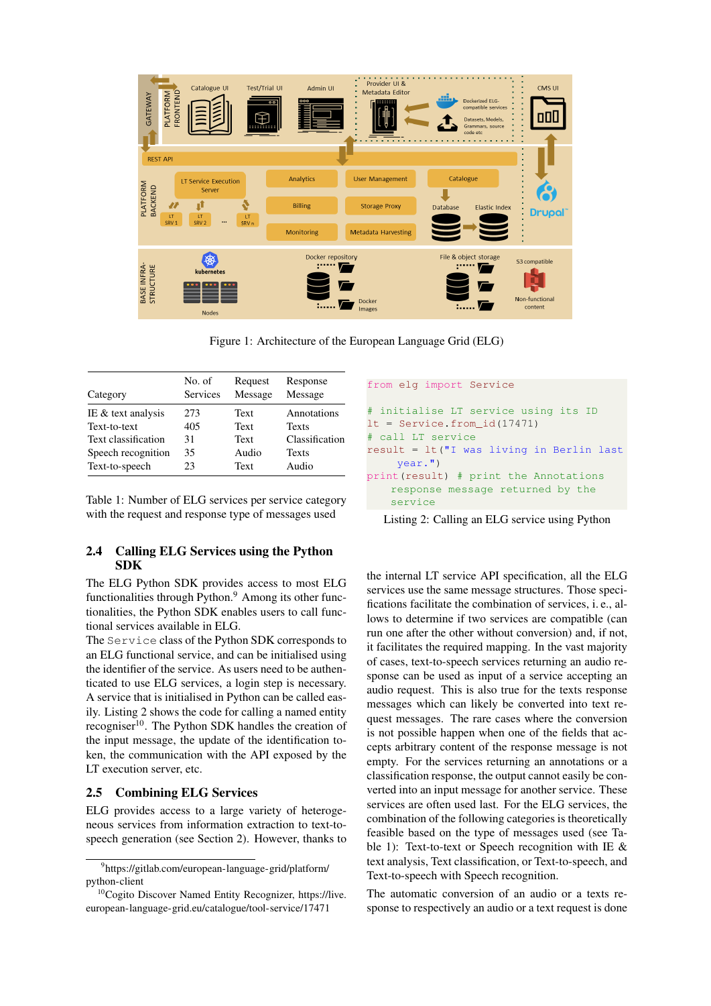

<span id="page-2-1"></span>Figure 1: Architecture of the European Language Grid (ELG)

| Category            | No. of<br>Services | Request<br>Message | Response<br>Message |
|---------------------|--------------------|--------------------|---------------------|
| IE & text analysis  | 273                | Text               | Annotations         |
| Text-to-text        | 405                | Text               | <b>Texts</b>        |
| Text classification | 31                 | <b>Text</b>        | Classification      |
| Speech recognition  | 35                 | Audio              | <b>Texts</b>        |
| Text-to-speech      | 23                 | Text               | Audio               |

Table 1: Number of ELG services per service category with the request and response type of messages used

### <span id="page-2-5"></span>2.4 Calling ELG Services using the Python SDK

The ELG Python SDK provides access to most ELG functionalities through Python. $9$  Among its other functionalities, the Python SDK enables users to call functional services available in ELG.

The Service class of the Python SDK corresponds to an ELG functional service, and can be initialised using the identifier of the service. As users need to be authenticated to use ELG services, a login step is necessary. A service that is initialised in Python can be called easily. Listing [2](#page-2-3) shows the code for calling a named entity recogniser<sup>[10](#page-2-4)</sup>. The Python SDK handles the creation of the input message, the update of the identification token, the communication with the API exposed by the LT execution server, etc.

### <span id="page-2-6"></span>2.5 Combining ELG Services

ELG provides access to a large variety of heterogeneous services from information extraction to text-tospeech generation (see Section [2\)](#page-1-0). However, thanks to

```
from elg import Service
# initialise LT service using its ID
lt = Service.from_id(17471)
# call LT service
result = lt("I was living in Berlin last
    year.")
print(result) # print the Annotations
    response message returned by the
    service
```
Listing 2: Calling an ELG service using Python

the internal LT service API specification, all the ELG services use the same message structures. Those specifications facilitate the combination of services, i. e., allows to determine if two services are compatible (can run one after the other without conversion) and, if not, it facilitates the required mapping. In the vast majority of cases, text-to-speech services returning an audio response can be used as input of a service accepting an audio request. This is also true for the texts response messages which can likely be converted into text request messages. The rare cases where the conversion is not possible happen when one of the fields that accepts arbitrary content of the response message is not empty. For the services returning an annotations or a classification response, the output cannot easily be converted into an input message for another service. These services are often used last. For the ELG services, the combination of the following categories is theoretically feasible based on the type of messages used (see Table [1\)](#page-2-1): Text-to-text or Speech recognition with IE & text analysis, Text classification, or Text-to-speech, and Text-to-speech with Speech recognition.

The automatic conversion of an audio or a texts response to respectively an audio or a text request is done

<span id="page-2-2"></span><sup>9</sup> [https://gitlab.com/european-language-grid/platform/](https://gitlab.com/european-language-grid/platform/python-client) [python-client](https://gitlab.com/european-language-grid/platform/python-client)

<span id="page-2-4"></span><sup>10</sup>Cogito Discover Named Entity Recognizer, [https://live.](https://live.european-language-grid.eu/catalogue/tool-service/17471) [european-language-grid.eu/catalogue/tool-service/17471](https://live.european-language-grid.eu/catalogue/tool-service/17471)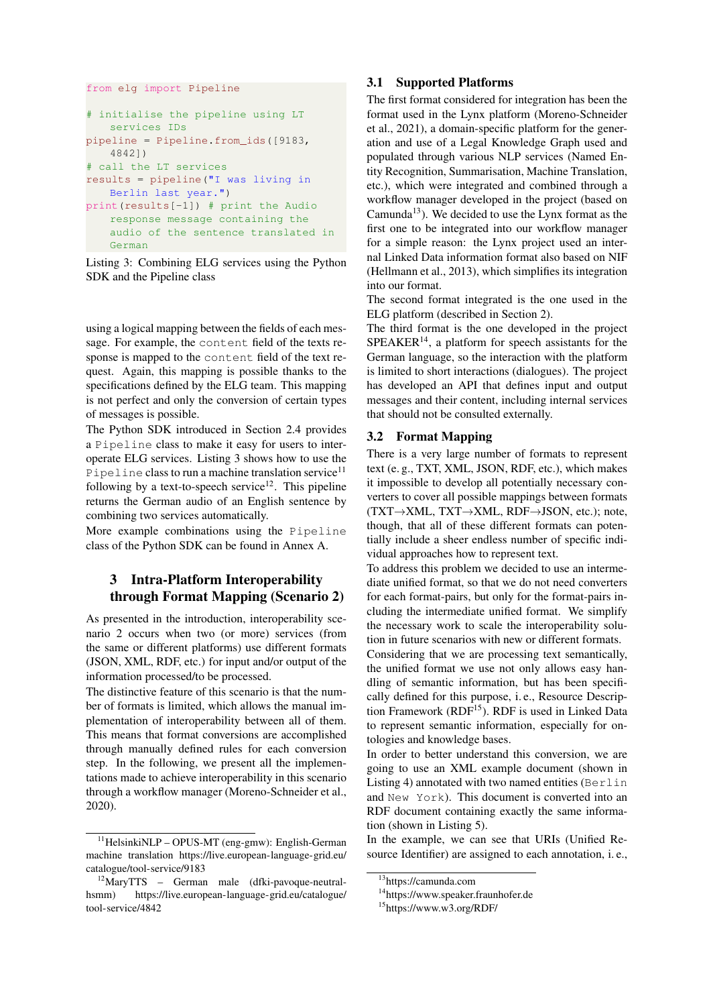```
from elg import Pipeline
```

```
# initialise the pipeline using LT
   services IDs
pipeline = Pipeline.from_ids([9183,
   4842])
# call the LT services
results = pipeline("I was living in
   Berlin last year.")
print(results[-1]) # print the Audio
   response message containing the
   audio of the sentence translated in
   German
```

```
Listing 3: Combining ELG services using the Python
SDK and the Pipeline class
```
using a logical mapping between the fields of each message. For example, the content field of the texts response is mapped to the content field of the text request. Again, this mapping is possible thanks to the specifications defined by the ELG team. This mapping is not perfect and only the conversion of certain types of messages is possible.

The Python SDK introduced in Section [2.4](#page-2-5) provides a Pipeline class to make it easy for users to interoperate ELG services. Listing [3](#page-3-1) shows how to use the Pipeline class to run a machine translation service<sup>[11](#page-3-2)</sup> following by a text-to-speech service<sup>[12](#page-3-3)</sup>. This pipeline returns the German audio of an English sentence by combining two services automatically.

More example combinations using the Pipeline class of the Python SDK can be found in Annex [A.](#page-8-2)

# <span id="page-3-0"></span>3 Intra-Platform Interoperability through Format Mapping (Scenario 2)

As presented in the introduction, interoperability scenario 2 occurs when two (or more) services (from the same or different platforms) use different formats (JSON, XML, RDF, etc.) for input and/or output of the information processed/to be processed.

The distinctive feature of this scenario is that the number of formats is limited, which allows the manual implementation of interoperability between all of them. This means that format conversions are accomplished through manually defined rules for each conversion step. In the following, we present all the implementations made to achieve interoperability in this scenario through a workflow manager [\(Moreno-Schneider et al.,](#page-7-1) [2020\)](#page-7-1).

#### 3.1 Supported Platforms

The first format considered for integration has been the format used in the Lynx platform [\(Moreno-Schneider](#page-7-2) [et al., 2021\)](#page-7-2), a domain-specific platform for the generation and use of a Legal Knowledge Graph used and populated through various NLP services (Named Entity Recognition, Summarisation, Machine Translation, etc.), which were integrated and combined through a workflow manager developed in the project (based on Camunda<sup>[13](#page-3-4)</sup>). We decided to use the Lynx format as the first one to be integrated into our workflow manager for a simple reason: the Lynx project used an internal Linked Data information format also based on NIF [\(Hellmann et al., 2013\)](#page-7-3), which simplifies its integration into our format.

The second format integrated is the one used in the ELG platform (described in Section [2\)](#page-1-0).

The third format is the one developed in the project  $SPEAKER<sup>14</sup>$  $SPEAKER<sup>14</sup>$  $SPEAKER<sup>14</sup>$ , a platform for speech assistants for the German language, so the interaction with the platform is limited to short interactions (dialogues). The project has developed an API that defines input and output messages and their content, including internal services that should not be consulted externally.

## 3.2 Format Mapping

There is a very large number of formats to represent text (e. g., TXT, XML, JSON, RDF, etc.), which makes it impossible to develop all potentially necessary converters to cover all possible mappings between formats (TXT→XML, TXT→XML, RDF→JSON, etc.); note, though, that all of these different formats can potentially include a sheer endless number of specific individual approaches how to represent text.

To address this problem we decided to use an intermediate unified format, so that we do not need converters for each format-pairs, but only for the format-pairs including the intermediate unified format. We simplify the necessary work to scale the interoperability solution in future scenarios with new or different formats.

Considering that we are processing text semantically, the unified format we use not only allows easy handling of semantic information, but has been specifically defined for this purpose, i. e., Resource Descrip-tion Framework (RDF<sup>[15](#page-3-6)</sup>). RDF is used in Linked Data to represent semantic information, especially for ontologies and knowledge bases.

In order to better understand this conversion, we are going to use an XML example document (shown in Listing [4\)](#page-4-1) annotated with two named entities (Berlin and New York). This document is converted into an RDF document containing exactly the same information (shown in Listing [5\)](#page-5-1).

In the example, we can see that URIs (Unified Resource Identifier) are assigned to each annotation, i. e.,

<span id="page-3-2"></span> $11$ HelsinkiNLP – OPUS-MT (eng-gmw): English-German machine translation [https://live.european-language-grid.eu/](https://live.european-language-grid.eu/catalogue/tool-service/9183) [catalogue/tool-service/9183](https://live.european-language-grid.eu/catalogue/tool-service/9183)

<span id="page-3-3"></span><sup>12</sup>MaryTTS – German male (dfki-pavoque-neutralhsmm) [https://live.european-language-grid.eu/catalogue/](https://live.european-language-grid.eu/catalogue/tool-service/4842) [tool-service/4842](https://live.european-language-grid.eu/catalogue/tool-service/4842)

<span id="page-3-4"></span><sup>13</sup><https://camunda.com>

<span id="page-3-5"></span><sup>14</sup><https://www.speaker.fraunhofer.de>

<span id="page-3-6"></span><sup>15</sup><https://www.w3.org/RDF/>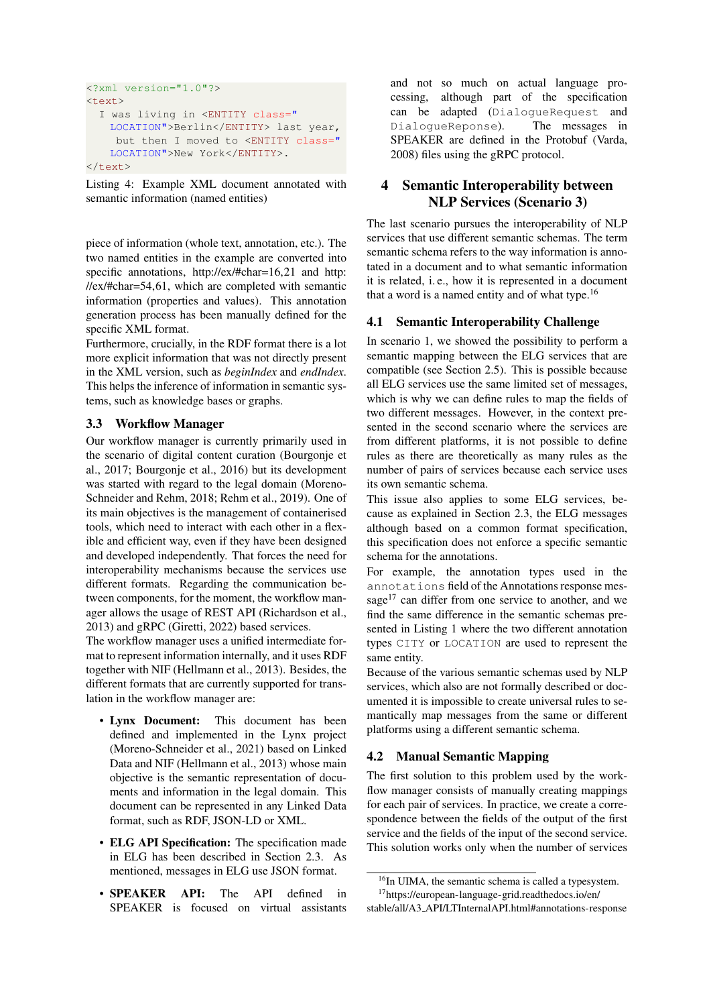```
<?xml version="1.0"?>
<text>
  I was living in <ENTITY class="
   LOCATION">Berlin</ENTITY> last year,
    but then I moved to <ENTITY class="
   LOCATION">New York</ENTITY>.
</text>
```
Listing 4: Example XML document annotated with semantic information (named entities)

piece of information (whole text, annotation, etc.). The two named entities in the example are converted into specific annotations,<http://ex/#char=16,21> and [http:](http://ex/#char=54,61) [//ex/#char=54,61,](http://ex/#char=54,61) which are completed with semantic information (properties and values). This annotation generation process has been manually defined for the specific XML format.

Furthermore, crucially, in the RDF format there is a lot more explicit information that was not directly present in the XML version, such as *beginIndex* and *endIndex*. This helps the inference of information in semantic systems, such as knowledge bases or graphs.

## 3.3 Workflow Manager

Our workflow manager is currently primarily used in the scenario of digital content curation [\(Bourgonje et](#page-7-4) [al., 2017;](#page-7-4) [Bourgonje et al., 2016\)](#page-7-5) but its development was started with regard to the legal domain [\(Moreno-](#page-7-6)[Schneider and Rehm, 2018;](#page-7-6) [Rehm et al., 2019\)](#page-7-7). One of its main objectives is the management of containerised tools, which need to interact with each other in a flexible and efficient way, even if they have been designed and developed independently. That forces the need for interoperability mechanisms because the services use different formats. Regarding the communication between components, for the moment, the workflow manager allows the usage of REST API [\(Richardson et al.,](#page-8-3) [2013\)](#page-8-3) and gRPC [\(Giretti, 2022\)](#page-7-8) based services.

The workflow manager uses a unified intermediate format to represent information internally, and it uses RDF together with NIF [\(Hellmann et al., 2013\)](#page-7-3). Besides, the different formats that are currently supported for translation in the workflow manager are:

- Lynx Document: This document has been defined and implemented in the Lynx project [\(Moreno-Schneider et al., 2021\)](#page-7-2) based on Linked Data and NIF [\(Hellmann et al., 2013\)](#page-7-3) whose main objective is the semantic representation of documents and information in the legal domain. This document can be represented in any Linked Data format, such as RDF, JSON-LD or XML.
- ELG API Specification: The specification made in ELG has been described in Section [2.3.](#page-1-4) As mentioned, messages in ELG use JSON format.
- SPEAKER API: The API defined in SPEAKER is focused on virtual assistants

and not so much on actual language processing, although part of the specification can be adapted (DialogueRequest and DialogueReponse). The messages in SPEAKER are defined in the Protobuf [\(Varda,](#page-8-4) [2008\)](#page-8-4) files using the gRPC protocol.

# <span id="page-4-0"></span>4 Semantic Interoperability between NLP Services (Scenario 3)

The last scenario pursues the interoperability of NLP services that use different semantic schemas. The term semantic schema refers to the way information is annotated in a document and to what semantic information it is related, i. e., how it is represented in a document that a word is a named entity and of what type. $16$ 

## 4.1 Semantic Interoperability Challenge

In scenario 1, we showed the possibility to perform a semantic mapping between the ELG services that are compatible (see Section [2.5\)](#page-2-6). This is possible because all ELG services use the same limited set of messages, which is why we can define rules to map the fields of two different messages. However, in the context presented in the second scenario where the services are from different platforms, it is not possible to define rules as there are theoretically as many rules as the number of pairs of services because each service uses its own semantic schema.

This issue also applies to some ELG services, because as explained in Section [2.3,](#page-1-4) the ELG messages although based on a common format specification, this specification does not enforce a specific semantic schema for the annotations.

For example, the annotation types used in the annotations field of the Annotations response mes-sage<sup>[17](#page-4-3)</sup> can differ from one service to another, and we find the same difference in the semantic schemas presented in Listing [1](#page-1-1) where the two different annotation types CITY or LOCATION are used to represent the same entity.

Because of the various semantic schemas used by NLP services, which also are not formally described or documented it is impossible to create universal rules to semantically map messages from the same or different platforms using a different semantic schema.

# 4.2 Manual Semantic Mapping

The first solution to this problem used by the workflow manager consists of manually creating mappings for each pair of services. In practice, we create a correspondence between the fields of the output of the first service and the fields of the input of the second service. This solution works only when the number of services

<span id="page-4-3"></span><span id="page-4-2"></span><sup>&</sup>lt;sup>16</sup>In UIMA, the semantic schema is called a typesystem. <sup>17</sup>[https://european-language-grid.readthedocs.io/en/](https://european-language-grid.readthedocs.io/en/stable/all/A3_API/LTInternalAPI.html#annotations-response)

stable/all/A3 [API/LTInternalAPI.html#annotations-response](https://european-language-grid.readthedocs.io/en/stable/all/A3_API/LTInternalAPI.html#annotations-response)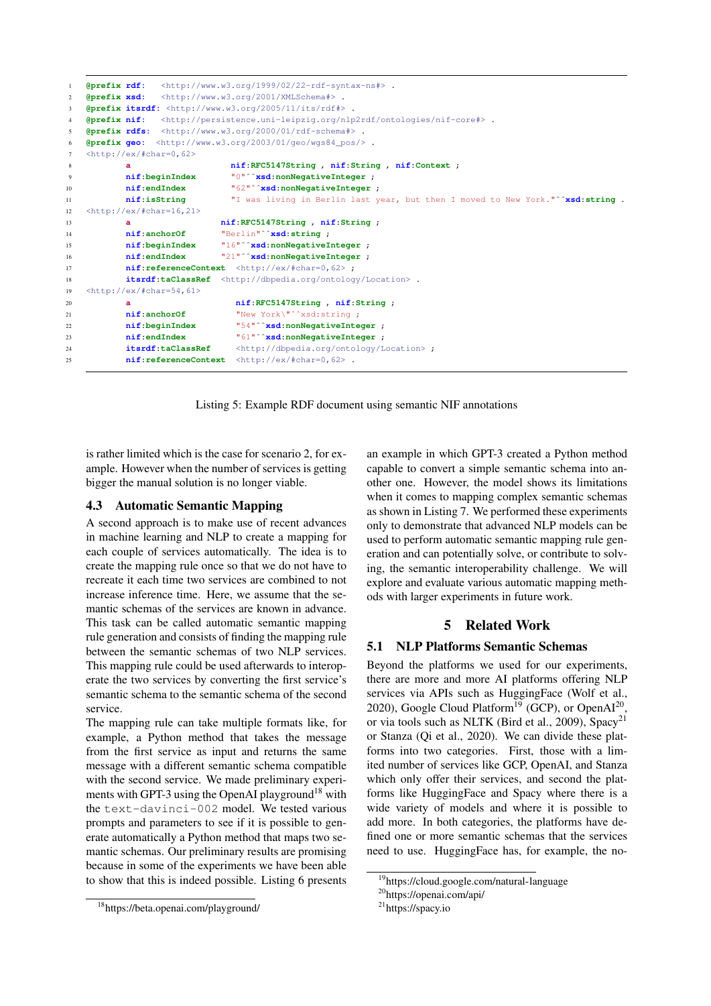```
1 @prefix rdf: <http://www.w3.org/1999/02/22-rdf-syntax-ns#> .
2 @prefix xsd: <http://www.w3.org/2001/XMLSchema#> .
3 @prefix itsrdf: <http://www.w3.org/2005/11/its/rdf#> .
   4 @prefix nif: <http://persistence.uni-leipzig.org/nlp2rdf/ontologies/nif-core#> .
5 @prefix rdfs: <http://www.w3.org/2000/01/rdf-schema#> .
6 @prefix geo: <http://www.w3.org/2003/01/geo/wgs84_pos/> .
7 <http://ex/#char=0,62>
8 a nif:RFC5147String , nif:String , nif:Context ;
9 nif:beginIndex "0"ˆˆxsd:nonNegativeInteger ;
10 nif:endIndex "62"ˆˆxsd:nonNegativeInteger ;
11 nif:isString "I was living in Berlin last year, but then I moved to New York."ˆˆxsd:string .
12 <http://ex/#char=16,21>
13 a nif:RFC5147String , nif:String ;
14 nif:anchorOf "Berlin"ˆˆxsd:string ;
15 nif:beginIndex "16"ˆˆxsd:nonNegativeInteger ;
16 nif:endIndex "21"ˆˆxsd:nonNegativeInteger ;
17 nif:referenceContext <http://ex/#char=0,62> ;
18 itsrdf:taClassRef <http://dbpedia.org/ontology/Location> .
19 <http://ex/#char=54,61>
20 a nif:RFC5147String , nif:String ;
21 nif:anchorOf "New York\"ˆˆxsd:string ;
22 nif:beginIndex "54"ˆˆxsd:nonNegativeInteger ;
23 nif:endIndex "61"ˆˆxsd:nonNegativeInteger ;
24 itsrdf:taClassRef <http://dbpedia.org/ontology/Location> ;
25 nif:referenceContext <http://ex/#char=0,62> .
```
Listing 5: Example RDF document using semantic NIF annotations

<span id="page-5-1"></span>is rather limited which is the case for scenario 2, for example. However when the number of services is getting bigger the manual solution is no longer viable.

### 4.3 Automatic Semantic Mapping

A second approach is to make use of recent advances in machine learning and NLP to create a mapping for each couple of services automatically. The idea is to create the mapping rule once so that we do not have to recreate it each time two services are combined to not increase inference time. Here, we assume that the semantic schemas of the services are known in advance. This task can be called automatic semantic mapping rule generation and consists of finding the mapping rule between the semantic schemas of two NLP services. This mapping rule could be used afterwards to interoperate the two services by converting the first service's semantic schema to the semantic schema of the second service.

The mapping rule can take multiple formats like, for example, a Python method that takes the message from the first service as input and returns the same message with a different semantic schema compatible with the second service. We made preliminary experi-ments with GPT-3 using the OpenAI playground<sup>[18](#page-5-2)</sup> with the text-davinci-002 model. We tested various prompts and parameters to see if it is possible to generate automatically a Python method that maps two semantic schemas. Our preliminary results are promising because in some of the experiments we have been able to show that this is indeed possible. Listing [6](#page-6-1) presents

<span id="page-5-2"></span><sup>18</sup><https://beta.openai.com/playground/>

an example in which GPT-3 created a Python method capable to convert a simple semantic schema into another one. However, the model shows its limitations when it comes to mapping complex semantic schemas as shown in Listing [7.](#page-6-2) We performed these experiments only to demonstrate that advanced NLP models can be used to perform automatic semantic mapping rule generation and can potentially solve, or contribute to solving, the semantic interoperability challenge. We will explore and evaluate various automatic mapping methods with larger experiments in future work.

#### 5 Related Work

#### <span id="page-5-0"></span>5.1 NLP Platforms Semantic Schemas

Beyond the platforms we used for our experiments, there are more and more AI platforms offering NLP services via APIs such as HuggingFace [\(Wolf et al.,](#page-8-5) [2020\)](#page-8-5), Google Cloud Platform<sup>[19](#page-5-3)</sup> (GCP), or OpenAI<sup>[20](#page-5-4)</sup>, or via tools such as NLTK [\(Bird et al., 2009\)](#page-7-9), Spacy<sup>[21](#page-5-5)</sup> or Stanza [\(Qi et al., 2020\)](#page-7-10). We can divide these platforms into two categories. First, those with a limited number of services like GCP, OpenAI, and Stanza which only offer their services, and second the platforms like HuggingFace and Spacy where there is a wide variety of models and where it is possible to add more. In both categories, the platforms have defined one or more semantic schemas that the services need to use. HuggingFace has, for example, the no-

<span id="page-5-3"></span><sup>19</sup><https://cloud.google.com/natural-language>

<span id="page-5-4"></span><sup>20</sup><https://openai.com/api/>

<span id="page-5-5"></span><sup>21</sup><https://spacy.io>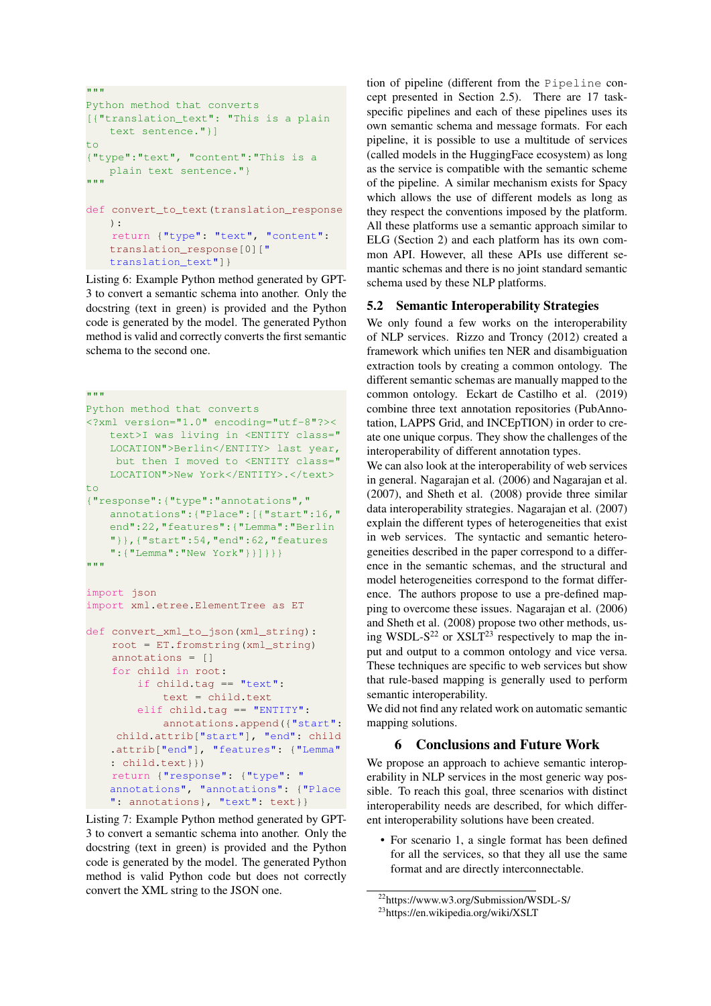```
"" ""
Python method that converts
[{"translation_text": "This is a plain
   text sentence."}]
t \circ{"type":"text", "content":"This is a
   plain text sentence."}
"""
def convert_to_text(translation_response
   ):
    return {"type": "text", "content":
   translation_response[0]["
   translation_text"]}
```
Listing 6: Example Python method generated by GPT-3 to convert a semantic schema into another. Only the docstring (text in green) is provided and the Python code is generated by the model. The generated Python method is valid and correctly converts the first semantic schema to the second one.

```
"""
Python method that converts
<?xml version="1.0" encoding="utf-8"?><
   text>I was living in <ENTITY class="
   LOCATION">Berlin</ENTITY> last year,
    but then I moved to <ENTITY class="
   LOCATION">New York</ENTITY>.</text>
t_{\Omega}{"response":{"type":"annotations","
   annotations":{"Place":[{"start":16,"
   end":22,"features":{"Lemma":"Berlin
   "}},{"start":54,"end":62,"features
   ":{"Lemma":"New York"}}]}}}
"" "" ""
import json
import xml.etree.ElementTree as ET
def convert_xml_to_json(xml_string):
    root = ET.fromstring(xml_string)
    annotations = []
    for child in root:
        if child.tag == "text":
            text = child.text
        elif child.tag == "ENTITY":
            annotations.append({"start":
    child.attrib["start"], "end": child
    .attrib["end"], "features": {"Lemma"
    : child.text}})
    return {"response": {"type": "
   annotations", "annotations": {"Place
   ": annotations}, "text": text}}
```
Listing 7: Example Python method generated by GPT-3 to convert a semantic schema into another. Only the docstring (text in green) is provided and the Python code is generated by the model. The generated Python method is valid Python code but does not correctly convert the XML string to the JSON one.

tion of pipeline (different from the Pipeline concept presented in Section [2.5\)](#page-2-6). There are 17 taskspecific pipelines and each of these pipelines uses its own semantic schema and message formats. For each pipeline, it is possible to use a multitude of services (called models in the HuggingFace ecosystem) as long as the service is compatible with the semantic scheme of the pipeline. A similar mechanism exists for Spacy which allows the use of different models as long as they respect the conventions imposed by the platform. All these platforms use a semantic approach similar to ELG (Section [2\)](#page-1-0) and each platform has its own common API. However, all these APIs use different semantic schemas and there is no joint standard semantic schema used by these NLP platforms.

#### 5.2 Semantic Interoperability Strategies

We only found a few works on the interoperability of NLP services. [Rizzo and Troncy \(2012\)](#page-8-6) created a framework which unifies ten NER and disambiguation extraction tools by creating a common ontology. The different semantic schemas are manually mapped to the common ontology. [Eckart de Castilho et al. \(2019\)](#page-7-11) combine three text annotation repositories (PubAnnotation, LAPPS Grid, and INCEpTION) in order to create one unique corpus. They show the challenges of the interoperability of different annotation types.

We can also look at the interoperability of web services in general. [Nagarajan et al. \(2006\)](#page-7-12) and [Nagarajan et al.](#page-7-13) [\(2007\)](#page-7-13), and [Sheth et al. \(2008\)](#page-8-7) provide three similar data interoperability strategies. [Nagarajan et al. \(2007\)](#page-7-13) explain the different types of heterogeneities that exist in web services. The syntactic and semantic heterogeneities described in the paper correspond to a difference in the semantic schemas, and the structural and model heterogeneities correspond to the format difference. The authors propose to use a pre-defined mapping to overcome these issues. [Nagarajan et al. \(2006\)](#page-7-12) and [Sheth et al. \(2008\)](#page-8-7) propose two other methods, us-ing WSDL-S<sup>[22](#page-6-3)</sup> or XSLT<sup>[23](#page-6-4)</sup> respectively to map the input and output to a common ontology and vice versa. These techniques are specific to web services but show that rule-based mapping is generally used to perform semantic interoperability.

We did not find any related work on automatic semantic mapping solutions.

#### 6 Conclusions and Future Work

<span id="page-6-0"></span>We propose an approach to achieve semantic interoperability in NLP services in the most generic way possible. To reach this goal, three scenarios with distinct interoperability needs are described, for which different interoperability solutions have been created.

• For scenario 1, a single format has been defined for all the services, so that they all use the same format and are directly interconnectable.

<span id="page-6-3"></span><sup>22</sup><https://www.w3.org/Submission/WSDL-S/>

<span id="page-6-4"></span><sup>23</sup><https://en.wikipedia.org/wiki/XSLT>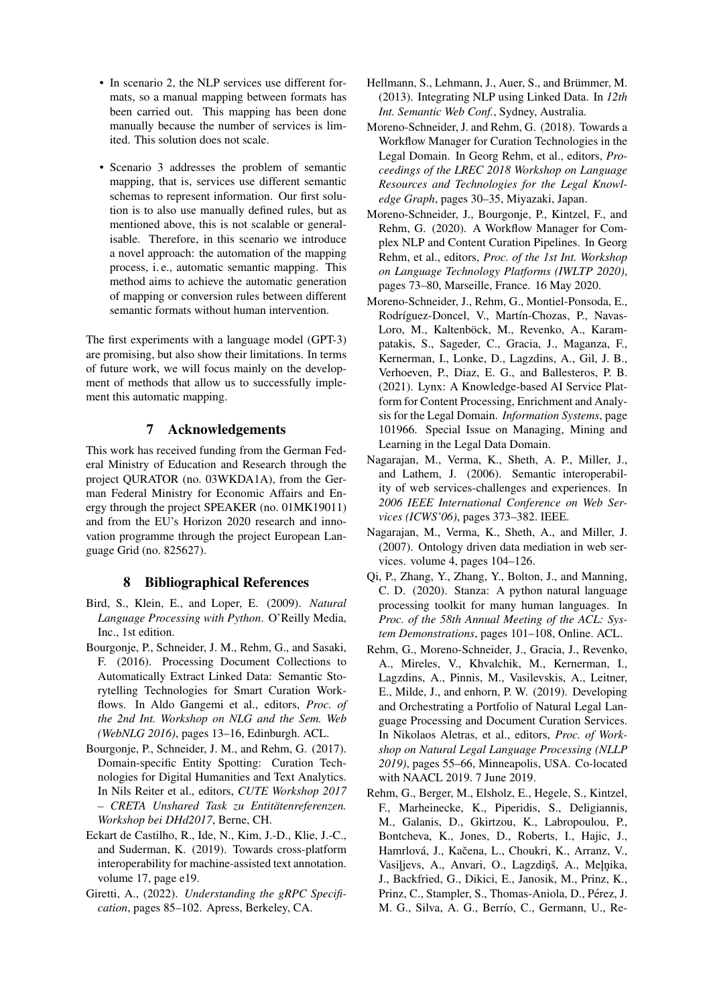- In scenario 2, the NLP services use different formats, so a manual mapping between formats has been carried out. This mapping has been done manually because the number of services is limited. This solution does not scale.
- Scenario 3 addresses the problem of semantic mapping, that is, services use different semantic schemas to represent information. Our first solution is to also use manually defined rules, but as mentioned above, this is not scalable or generalisable. Therefore, in this scenario we introduce a novel approach: the automation of the mapping process, i. e., automatic semantic mapping. This method aims to achieve the automatic generation of mapping or conversion rules between different semantic formats without human intervention.

The first experiments with a language model (GPT-3) are promising, but also show their limitations. In terms of future work, we will focus mainly on the development of methods that allow us to successfully implement this automatic mapping.

## 7 Acknowledgements

This work has received funding from the German Federal Ministry of Education and Research through the project QURATOR (no. 03WKDA1A), from the German Federal Ministry for Economic Affairs and Energy through the project SPEAKER (no. 01MK19011) and from the EU's Horizon 2020 research and innovation programme through the project European Language Grid (no. 825627).

# 8 Bibliographical References

- <span id="page-7-9"></span>Bird, S., Klein, E., and Loper, E. (2009). *Natural Language Processing with Python*. O'Reilly Media, Inc., 1st edition.
- <span id="page-7-5"></span>Bourgonje, P., Schneider, J. M., Rehm, G., and Sasaki, F. (2016). Processing Document Collections to Automatically Extract Linked Data: Semantic Storytelling Technologies for Smart Curation Workflows. In Aldo Gangemi et al., editors, *Proc. of the 2nd Int. Workshop on NLG and the Sem. Web (WebNLG 2016)*, pages 13–16, Edinburgh. ACL.
- <span id="page-7-4"></span>Bourgonje, P., Schneider, J. M., and Rehm, G. (2017). Domain-specific Entity Spotting: Curation Technologies for Digital Humanities and Text Analytics. In Nils Reiter et al., editors, *CUTE Workshop 2017 – CRETA Unshared Task zu Entitatenreferenzen. ¨ Workshop bei DHd2017*, Berne, CH.
- <span id="page-7-11"></span>Eckart de Castilho, R., Ide, N., Kim, J.-D., Klie, J.-C., and Suderman, K. (2019). Towards cross-platform interoperability for machine-assisted text annotation. volume 17, page e19.
- <span id="page-7-8"></span>Giretti, A., (2022). *Understanding the gRPC Specification*, pages 85–102. Apress, Berkeley, CA.
- <span id="page-7-3"></span>Hellmann, S., Lehmann, J., Auer, S., and Brümmer, M. (2013). Integrating NLP using Linked Data. In *12th Int. Semantic Web Conf.*, Sydney, Australia.
- <span id="page-7-6"></span>Moreno-Schneider, J. and Rehm, G. (2018). Towards a Workflow Manager for Curation Technologies in the Legal Domain. In Georg Rehm, et al., editors, *Proceedings of the LREC 2018 Workshop on Language Resources and Technologies for the Legal Knowledge Graph*, pages 30–35, Miyazaki, Japan.
- <span id="page-7-1"></span>Moreno-Schneider, J., Bourgonje, P., Kintzel, F., and Rehm, G. (2020). A Workflow Manager for Complex NLP and Content Curation Pipelines. In Georg Rehm, et al., editors, *Proc. of the 1st Int. Workshop on Language Technology Platforms (IWLTP 2020)*, pages 73–80, Marseille, France. 16 May 2020.
- <span id="page-7-2"></span>Moreno-Schneider, J., Rehm, G., Montiel-Ponsoda, E., Rodríguez-Doncel, V., Martín-Chozas, P., Navas-Loro, M., Kaltenböck, M., Revenko, A., Karampatakis, S., Sageder, C., Gracia, J., Maganza, F., Kernerman, I., Lonke, D., Lagzdins, A., Gil, J. B., Verhoeven, P., Diaz, E. G., and Ballesteros, P. B. (2021). Lynx: A Knowledge-based AI Service Platform for Content Processing, Enrichment and Analysis for the Legal Domain. *Information Systems*, page 101966. Special Issue on Managing, Mining and Learning in the Legal Data Domain.
- <span id="page-7-12"></span>Nagarajan, M., Verma, K., Sheth, A. P., Miller, J., and Lathem, J. (2006). Semantic interoperability of web services-challenges and experiences. In *2006 IEEE International Conference on Web Services (ICWS'06)*, pages 373–382. IEEE.
- <span id="page-7-13"></span>Nagarajan, M., Verma, K., Sheth, A., and Miller, J. (2007). Ontology driven data mediation in web services. volume 4, pages 104–126.
- <span id="page-7-10"></span>Qi, P., Zhang, Y., Zhang, Y., Bolton, J., and Manning, C. D. (2020). Stanza: A python natural language processing toolkit for many human languages. In *Proc. of the 58th Annual Meeting of the ACL: System Demonstrations*, pages 101–108, Online. ACL.
- <span id="page-7-7"></span>Rehm, G., Moreno-Schneider, J., Gracia, J., Revenko, A., Mireles, V., Khvalchik, M., Kernerman, I., Lagzdins, A., Pinnis, M., Vasilevskis, A., Leitner, E., Milde, J., and enhorn, P. W. (2019). Developing and Orchestrating a Portfolio of Natural Legal Language Processing and Document Curation Services. In Nikolaos Aletras, et al., editors, *Proc. of Workshop on Natural Legal Language Processing (NLLP 2019)*, pages 55–66, Minneapolis, USA. Co-located with NAACL 2019. 7 June 2019.
- <span id="page-7-0"></span>Rehm, G., Berger, M., Elsholz, E., Hegele, S., Kintzel, F., Marheinecke, K., Piperidis, S., Deligiannis, M., Galanis, D., Gkirtzou, K., Labropoulou, P., Bontcheva, K., Jones, D., Roberts, I., Hajic, J., Hamrlová, J., Kačena, L., Choukri, K., Arranz, V., Vasiljevs, A., Anvari, O., Lagzdiņš, A., Meļņika, J., Backfried, G., Dikici, E., Janosik, M., Prinz, K., Prinz, C., Stampler, S., Thomas-Aniola, D., Pérez, J. M. G., Silva, A. G., Berrío, C., Germann, U., Re-